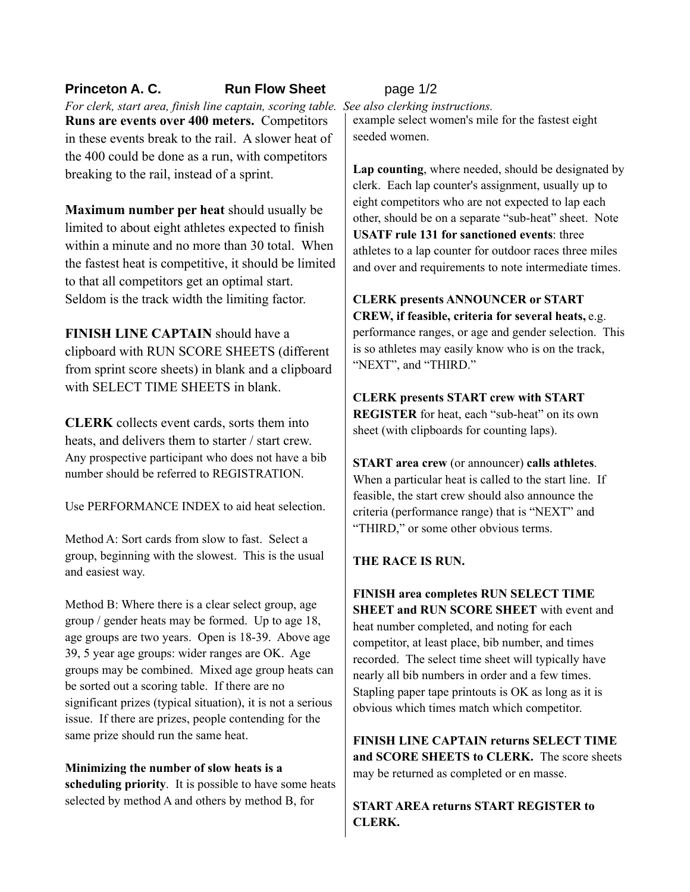## **Princeton A. C. Run Flow Sheet** page 1/2

*For clerk, start area, finish line captain, scoring table. See also clerking instructions.* **Runs are events over 400 meters.** Competitors in these events break to the rail. A slower heat of the 400 could be done as a run, with competitors breaking to the rail, instead of a sprint.

**Maximum number per heat** should usually be limited to about eight athletes expected to finish within a minute and no more than 30 total. When the fastest heat is competitive, it should be limited to that all competitors get an optimal start. Seldom is the track width the limiting factor.

**FINISH LINE CAPTAIN** should have a clipboard with RUN SCORE SHEETS (different from sprint score sheets) in blank and a clipboard with SELECT TIME SHEETS in blank.

**CLERK** collects event cards, sorts them into heats, and delivers them to starter / start crew. Any prospective participant who does not have a bib number should be referred to REGISTRATION

Use PERFORMANCE INDEX to aid heat selection.

Method A: Sort cards from slow to fast. Select a group, beginning with the slowest. This is the usual and easiest way.

Method B: Where there is a clear select group, age group / gender heats may be formed. Up to age 18, age groups are two years. Open is 18-39. Above age 39, 5 year age groups: wider ranges are OK. Age groups may be combined. Mixed age group heats can be sorted out a scoring table. If there are no significant prizes (typical situation), it is not a serious issue. If there are prizes, people contending for the same prize should run the same heat.

**Minimizing the number of slow heats is a scheduling priority**. It is possible to have some heats selected by method A and others by method B, for

example select women's mile for the fastest eight seeded women.

**Lap counting**, where needed, should be designated by clerk. Each lap counter's assignment, usually up to eight competitors who are not expected to lap each other, should be on a separate "sub-heat" sheet. Note **USATF rule 131 for sanctioned events**: three athletes to a lap counter for outdoor races three miles and over and requirements to note intermediate times.

**CLERK presents ANNOUNCER or START CREW, if feasible, criteria for several heats,** e.g. performance ranges, or age and gender selection. This is so athletes may easily know who is on the track, "NEXT", and "THIRD."

## **CLERK presents START crew with START REGISTER** for heat, each "sub-heat" on its own sheet (with clipboards for counting laps).

**START area crew** (or announcer) **calls athletes**. When a particular heat is called to the start line. If feasible, the start crew should also announce the criteria (performance range) that is "NEXT" and "THIRD," or some other obvious terms.

## **THE RACE IS RUN.**

**FINISH area completes RUN SELECT TIME SHEET and RUN SCORE SHEET** with event and heat number completed, and noting for each competitor, at least place, bib number, and times recorded. The select time sheet will typically have nearly all bib numbers in order and a few times. Stapling paper tape printouts is OK as long as it is obvious which times match which competitor.

**FINISH LINE CAPTAIN returns SELECT TIME and SCORE SHEETS to CLERK.** The score sheets may be returned as completed or en masse.

**START AREA returns START REGISTER to CLERK.**